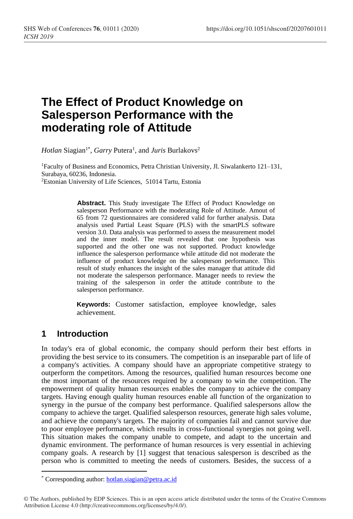# **The Effect of Product Knowledge on Salesperson Performance with the moderating role of Attitude**

*Hotlan* Siagian<sup>1\*</sup>, *Garry* Putera<sup>1</sup>, and *Juris* Burlakovs<sup>2</sup>

<sup>1</sup>Faculty of Business and Economics, Petra Christian University, Jl. Siwalankerto 121–131, Surabaya, 60236, Indonesia. <sup>2</sup>Estonian University of Life Sciences, 51014 Tartu, Estonia

> **Abstract.** This Study investigate The Effect of Product Knowledge on salesperson Performance with the moderating Role of Attitude. Amout of 65 from 72 questionnaires are considered valid for further analysis. Data analysis used Partial Least Square (PLS) with the smartPLS software version 3.0. Data analysis was performed to assess the measurement model and the inner model. The result revealed that one hypothesis was supported and the other one was not supported. Product knowledge influence the salesperson performance while attitude did not moderate the influence of product knowledge on the salesperson performance. This result of study enhances the insight of the sales manager that attitude did not moderate the salesperson performance. Manager needs to review the training of the salesperson in order the attitude contribute to the salesperson performance.

> **Keywords:** Customer satisfaction, employee knowledge, sales achievement.

# **1 Introduction**

In today's era of global economic, the company should perform their best efforts in providing the best service to its consumers. The competition is an inseparable part of life of a company's activities. A company should have an appropriate competitive strategy to outperform the competitors. Among the resources, qualified human resources become one the most important of the resources required by a company to win the competition. The empowerment of quality human resources enables the company to achieve the company targets. Having enough quality human resources enable all function of the organization to synergy in the pursue of the company best performance. Qualified salespersons allow the company to achieve the target. Qualified salesperson resources, generate high sales volume, and achieve the company's targets. The majority of companies fail and cannot survive due to poor employee performance, which results in cross-functional synergies not going well. This situation makes the company unable to compete, and adapt to the uncertain and dynamic environment. The performance of human resources is very essential in achieving company goals. A research by [1] suggest that tenacious salesperson is described as the person who is committed to meeting the needs of customers. Besides, the success of a

<sup>\*</sup> Corresponding author[: hotlan.siagian@petra.ac.id](mailto:hotlan.siagian@petra.ac.id)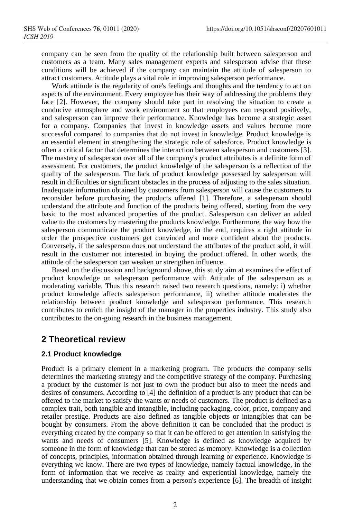company can be seen from the quality of the relationship built between salesperson and customers as a team. Many sales management experts and salesperson advise that these conditions will be achieved if the company can maintain the attitude of salesperson to attract customers. Attitude plays a vital role in improving salesperson performance.

Work attitude is the regularity of one's feelings and thoughts and the tendency to act on aspects of the environment. Every employee has their way of addressing the problems they face [2]. However, the company should take part in resolving the situation to create a conducive atmosphere and work environment so that employees can respond positively, and salesperson can improve their performance. Knowledge has become a strategic asset for a company. Companies that invest in knowledge assets and values become more successful compared to companies that do not invest in knowledge. Product knowledge is an essential element in strengthening the strategic role of salesforce. Product knowledge is often a critical factor that determines the interaction between salesperson and customers [3]. The mastery of salesperson over all of the company's product attributes is a definite form of assessment. For customers, the product knowledge of the salesperson is a reflection of the quality of the salesperson. The lack of product knowledge possessed by salesperson will result in difficulties or significant obstacles in the process of adjusting to the sales situation. Inadequate information obtained by customers from salesperson will cause the customers to reconsider before purchasing the products offered [1]. Therefore, a salesperson should understand the attribute and function of the products being offered, starting from the very basic to the most advanced properties of the product. Salesperson can deliver an added value to the customers by mastering the products knowledge. Furthermore, the way how the salesperson communicate the product knowledge, in the end, requires a right attitude in order the prospective customers get convinced and more confident about the products. Conversely, if the salesperson does not understand the attributes of the product sold, it will result in the customer not interested in buying the product offered. In other words, the attitude of the salesperson can weaken or strengthen influence.

Based on the discussion and background above, this study aim at examines the effect of product knowledge on salesperson performance with Attitude of the salesperson as a moderating variable. Thus this research raised two research questions, namely: i) whether product knowledge affects salesperson performance, ii) whether attitude moderates the relationship between product knowledge and salesperson performance. This research contributes to enrich the insight of the manager in the properties industry. This study also contributes to the on-going research in the business management.

## **2 Theoretical review**

#### **2.1 Product knowledge**

Product is a primary element in a marketing program. The products the company sells determines the marketing strategy and the competitive strategy of the company. Purchasing a product by the customer is not just to own the product but also to meet the needs and desires of consumers. According to [4] the definition of a product is any product that can be offered to the market to satisfy the wants or needs of customers. The product is defined as a complex trait, both tangible and intangible, including packaging, color, price, company and retailer prestige. Products are also defined as tangible objects or intangibles that can be bought by consumers. From the above definition it can be concluded that the product is everything created by the company so that it can be offered to get attention in satisfying the wants and needs of consumers [5]. Knowledge is defined as knowledge acquired by someone in the form of knowledge that can be stored as memory. Knowledge is a collection of concepts, principles, information obtained through learning or experience. Knowledge is everything we know. There are two types of knowledge, namely factual knowledge, in the form of information that we receive as reality and experiential knowledge, namely the understanding that we obtain comes from a person's experience [6]. The breadth of insight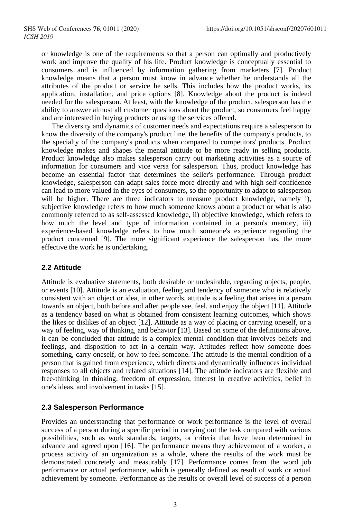or knowledge is one of the requirements so that a person can optimally and productively work and improve the quality of his life. Product knowledge is conceptually essential to consumers and is influenced by information gathering from marketers [7]. Product knowledge means that a person must know in advance whether he understands all the attributes of the product or service he sells. This includes how the product works, its application, installation, and price options [8]. Knowledge about the product is indeed needed for the salesperson. At least, with the knowledge of the product, salesperson has the ability to answer almost all customer questions about the product, so consumers feel happy and are interested in buying products or using the services offered.

The diversity and dynamics of customer needs and expectations require a salesperson to know the diversity of the company's product line, the benefits of the company's products, to the specialty of the company's products when compared to competitors' products. Product knowledge makes and shapes the mental attitude to be more ready in selling products. Product knowledge also makes salesperson carry out marketing activities as a source of information for consumers and vice versa for salesperson. Thus, product knowledge has become an essential factor that determines the seller's performance. Through product knowledge, salesperson can adapt sales force more directly and with high self-confidence can lead to more valued in the eyes of consumers, so the opportunity to adapt to salesperson will be higher. There are three indicators to measure product knowledge, namely i), subjective knowledge refers to how much someone knows about a product or what is also commonly referred to as self-assessed knowledge, ii) objective knowledge, which refers to how much the level and type of information contained in a person's memory, iii) experience-based knowledge refers to how much someone's experience regarding the product concerned [9]. The more significant experience the salesperson has, the more effective the work he is undertaking.

#### **2.2 Attitude**

Attitude is evaluative statements, both desirable or undesirable, regarding objects, people, or events [10]. Attitude is an evaluation, feeling and tendency of someone who is relatively consistent with an object or idea, in other words, attitude is a feeling that arises in a person towards an object, both before and after people see, feel, and enjoy the object [11]. Attitude as a tendency based on what is obtained from consistent learning outcomes, which shows the likes or dislikes of an object [12]. Attitude as a way of placing or carrying oneself, or a way of feeling, way of thinking, and behavior [13]. Based on some of the definitions above, it can be concluded that attitude is a complex mental condition that involves beliefs and feelings, and disposition to act in a certain way. Attitudes reflect how someone does something, carry oneself, or how to feel someone. The attitude is the mental condition of a person that is gained from experience, which directs and dynamically influences individual responses to all objects and related situations [14]. The attitude indicators are flexible and free-thinking in thinking, freedom of expression, interest in creative activities, belief in one's ideas, and involvement in tasks [15].

#### **2.3 Salesperson Performance**

Provides an understanding that performance or work performance is the level of overall success of a person during a specific period in carrying out the task compared with various possibilities, such as work standards, targets, or criteria that have been determined in advance and agreed upon [16]. The performance means they achievement of a worker, a process activity of an organization as a whole, where the results of the work must be demonstrated concretely and measurably [17]. Performance comes from the word job performance or actual performance, which is generally defined as result of work or actual achievement by someone. Performance as the results or overall level of success of a person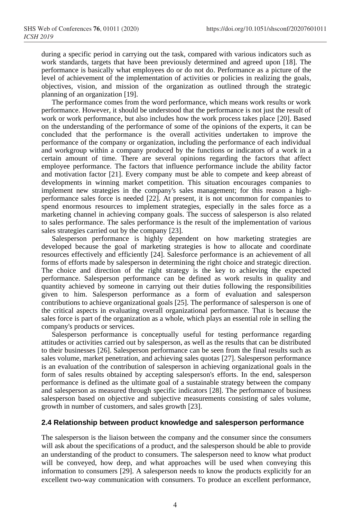during a specific period in carrying out the task, compared with various indicators such as work standards, targets that have been previously determined and agreed upon [18]. The performance is basically what employees do or do not do. Performance as a picture of the level of achievement of the implementation of activities or policies in realizing the goals, objectives, vision, and mission of the organization as outlined through the strategic planning of an organization [19].

The performance comes from the word performance, which means work results or work performance. However, it should be understood that the performance is not just the result of work or work performance, but also includes how the work process takes place [20]. Based on the understanding of the performance of some of the opinions of the experts, it can be concluded that the performance is the overall activities undertaken to improve the performance of the company or organization, including the performance of each individual and workgroup within a company produced by the functions or indicators of a work in a certain amount of time. There are several opinions regarding the factors that affect employee performance. The factors that influence performance include the ability factor and motivation factor [21]. Every company must be able to compete and keep abreast of developments in winning market competition. This situation encourages companies to implement new strategies in the company's sales management; for this reason a highperformance sales force is needed [22]. At present, it is not uncommon for companies to spend enormous resources to implement strategies, especially in the sales force as a marketing channel in achieving company goals. The success of salesperson is also related to sales performance. The sales performance is the result of the implementation of various sales strategies carried out by the company [23].

Salesperson performance is highly dependent on how marketing strategies are developed because the goal of marketing strategies is how to allocate and coordinate resources effectively and efficiently [24]. Salesforce performance is an achievement of all forms of efforts made by salesperson in determining the right choice and strategic direction. The choice and direction of the right strategy is the key to achieving the expected performance. Salesperson performance can be defined as work results in quality and quantity achieved by someone in carrying out their duties following the responsibilities given to him. Salesperson performance as a form of evaluation and salesperson contributions to achieve organizational goals [25]. The performance of salesperson is one of the critical aspects in evaluating overall organizational performance. That is because the sales force is part of the organization as a whole, which plays an essential role in selling the company's products or services.

Salesperson performance is conceptually useful for testing performance regarding attitudes or activities carried out by salesperson, as well as the results that can be distributed to their businesses [26]. Salesperson performance can be seen from the final results such as sales volume, market penetration, and achieving sales quotas [27]. Salesperson performance is an evaluation of the contribution of salesperson in achieving organizational goals in the form of sales results obtained by accepting salesperson's efforts. In the end, salesperson performance is defined as the ultimate goal of a sustainable strategy between the company and salesperson as measured through specific indicators [28]. The performance of business salesperson based on objective and subjective measurements consisting of sales volume, growth in number of customers, and sales growth [23].

#### **2.4 Relationship between product knowledge and salesperson performance**

The salesperson is the liaison between the company and the consumer since the consumers will ask about the specifications of a product, and the salesperson should be able to provide an understanding of the product to consumers. The salesperson need to know what product will be conveyed, how deep, and what approaches will be used when conveying this information to consumers [29]. A salesperson needs to know the products explicitly for an excellent two-way communication with consumers. To produce an excellent performance,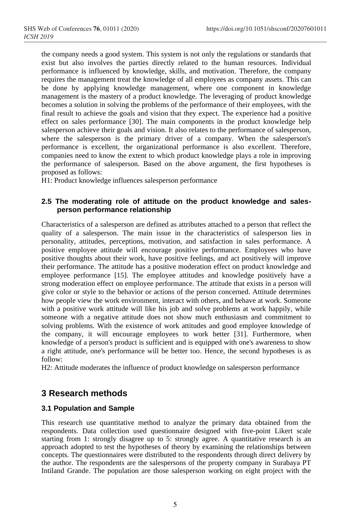the company needs a good system. This system is not only the regulations or standards that exist but also involves the parties directly related to the human resources. Individual performance is influenced by knowledge, skills, and motivation. Therefore, the company requires the management treat the knowledge of all employees as company assets. This can be done by applying knowledge management, where one component in knowledge management is the mastery of a product knowledge. The leveraging of product knowledge becomes a solution in solving the problems of the performance of their employees, with the final result to achieve the goals and vision that they expect. The experience had a positive effect on sales performance [30]. The main components in the product knowledge help salesperson achieve their goals and vision. It also relates to the performance of salesperson, where the salesperson is the primary driver of a company. When the salesperson's performance is excellent, the organizational performance is also excellent. Therefore, companies need to know the extent to which product knowledge plays a role in improving the performance of salesperson. Based on the above argument, the first hypotheses is proposed as follows:

H1: Product knowledge influences salesperson performance

### **2.5 The moderating role of attitude on the product knowledge and salesperson performance relationship**

Characteristics of a salesperson are defined as attributes attached to a person that reflect the quality of a salesperson. The main issue in the characteristics of salesperson lies in personality, attitudes, perceptions, motivation, and satisfaction in sales performance. A positive employee attitude will encourage positive performance. Employees who have positive thoughts about their work, have positive feelings, and act positively will improve their performance. The attitude has a positive moderation effect on product knowledge and employee performance [15]. The employee attitudes and knowledge positively have a strong moderation effect on employee performance. The attitude that exists in a person will give color or style to the behavior or actions of the person concerned. Attitude determines how people view the work environment, interact with others, and behave at work. Someone with a positive work attitude will like his job and solve problems at work happily, while someone with a negative attitude does not show much enthusiasm and commitment to solving problems. With the existence of work attitudes and good employee knowledge of the company, it will encourage employees to work better [31]. Furthermore, when knowledge of a person's product is sufficient and is equipped with one's awareness to show a right attitude, one's performance will be better too. Hence, the second hypotheses is as follow:

H2: Attitude moderates the influence of product knowledge on salesperson performance

# **3 Research methods**

### **3.1 Population and Sample**

This research use quantitative method to analyze the primary data obtained from the respondents. Data collection used questionnaire designed with five-point Likert scale starting from 1: strongly disagree up to 5: strongly agree. A quantitative research is an approach adopted to test the hypotheses of theory by examining the relationships between concepts. The questionnaires were distributed to the respondents through direct delivery by the author. The respondents are the salespersons of the property company in Surabaya PT Intiland Grande. The population are those salesperson working on eight project with the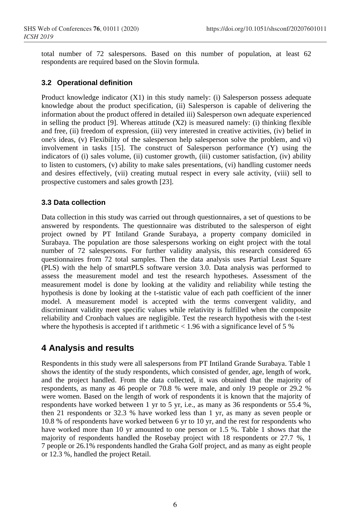total number of 72 salespersons. Based on this number of population, at least 62 respondents are required based on the Slovin formula.

### **3.2 Operational definition**

Product knowledge indicator (X1) in this study namely: (i) Salesperson possess adequate knowledge about the product specification, (ii) Salesperson is capable of delivering the information about the product offered in detailed iii) Salesperson own adequate experienced in selling the product [9]. Whereas attitude  $(X2)$  is measured namely: (i) thinking flexible and free, (ii) freedom of expression, (iii) very interested in creative activities, (iv) belief in one's ideas, (v) Flexibility of the salesperson help salesperson solve the problem, and vi) involvement in tasks [15]. The construct of Salesperson performance (Y) using the indicators of (i) sales volume, (ii) customer growth, (iii) customer satisfaction, (iv) ability to listen to customers, (v) ability to make sales presentations, (vi) handling customer needs and desires effectively, (vii) creating mutual respect in every sale activity, (viii) sell to prospective customers and sales growth [23].

### **3.3 Data collection**

Data collection in this study was carried out through questionnaires, a set of questions to be answered by respondents. The questionnaire was distributed to the salesperson of eight project owned by PT Intiland Grande Surabaya, a property company domiciled in Surabaya. The population are those salespersons working on eight project with the total number of 72 salespersons. For further validity analysis, this research considered 65 questionnaires from 72 total samples. Then the data analysis uses Partial Least Square (PLS) with the help of smartPLS software version 3.0. Data analysis was performed to assess the measurement model and test the research hypotheses. Assessment of the measurement model is done by looking at the validity and reliability while testing the hypothesis is done by looking at the t-statistic value of each path coefficient of the inner model. A measurement model is accepted with the terms convergent validity, and discriminant validity meet specific values while relativity is fulfilled when the composite reliability and Cronbach values are negligible. Test the research hypothesis with the t-test where the hypothesis is accepted if t arithmetic  $< 1.96$  with a significance level of 5 %

# **4 Analysis and results**

Respondents in this study were all salespersons from PT Intiland Grande Surabaya. Table 1 shows the identity of the study respondents, which consisted of gender, age, length of work, and the project handled. From the data collected, it was obtained that the majority of respondents, as many as 46 people or 70.8 % were male, and only 19 people or 29.2 % were women. Based on the length of work of respondents it is known that the majority of respondents have worked between 1 yr to 5 yr, i.e., as many as 36 respondents or 55.4 %, then 21 respondents or 32.3 % have worked less than 1 yr, as many as seven people or 10.8 % of respondents have worked between 6 yr to 10 yr, and the rest for respondents who have worked more than 10 yr amounted to one person or 1.5 %. Table 1 shows that the majority of respondents handled the Rosebay project with 18 respondents or 27.7 %, 1 7 people or 26.1% respondents handled the Graha Golf project, and as many as eight people or 12.3 %, handled the project Retail.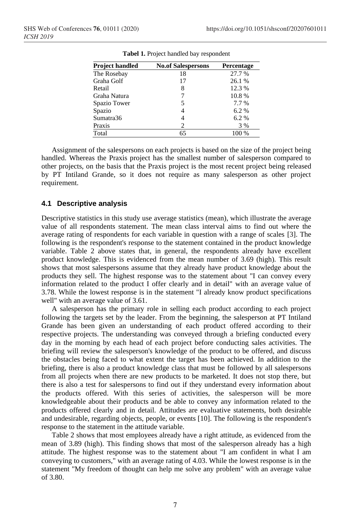| Project handled | <b>No.of Salespersons</b> | Percentage |  |  |
|-----------------|---------------------------|------------|--|--|
| The Rosebay     | 18                        | 27.7 %     |  |  |
| Graha Golf      | 17                        | 26.1 %     |  |  |
| Retail          | 8                         | 12.3 %     |  |  |
| Graha Natura    |                           | 10.8%      |  |  |
| Spazio Tower    | 5                         | 7.7 %      |  |  |
| Spazio          | 4                         | 6.2%       |  |  |
| Sumatra36       | 4                         | 6.2%       |  |  |
| Praxis          | 2                         | 3 %        |  |  |
| Total           | 65                        | 100 %      |  |  |

**Tabel 1.** Project handled bay respondent

Assignment of the salespersons on each projects is based on the size of the project being handled. Whereas the Praxis project has the smallest number of salesperson compared to other projects, on the basis that the Praxis project is the most recent project being released by PT Intiland Grande, so it does not require as many salesperson as other project requirement.

#### **4.1 Descriptive analysis**

Descriptive statistics in this study use average statistics (mean), which illustrate the average value of all respondents statement. The mean class interval aims to find out where the average rating of respondents for each variable in question with a range of scales [3]. The following is the respondent's response to the statement contained in the product knowledge variable. Table 2 above states that, in general, the respondents already have excellent product knowledge. This is evidenced from the mean number of 3.69 (high). This result shows that most salespersons assume that they already have product knowledge about the products they sell. The highest response was to the statement about "I can convey every information related to the product I offer clearly and in detail" with an average value of 3.78. While the lowest response is in the statement "I already know product specifications well" with an average value of 3.61.

A salesperson has the primary role in selling each product according to each project following the targets set by the leader. From the beginning, the salesperson at PT Intiland Grande has been given an understanding of each product offered according to their respective projects. The understanding was conveyed through a briefing conducted every day in the morning by each head of each project before conducting sales activities. The briefing will review the salesperson's knowledge of the product to be offered, and discuss the obstacles being faced to what extent the target has been achieved. In addition to the briefing, there is also a product knowledge class that must be followed by all salespersons from all projects when there are new products to be marketed. It does not stop there, but there is also a test for salespersons to find out if they understand every information about the products offered. With this series of activities, the salesperson will be more knowledgeable about their products and be able to convey any information related to the products offered clearly and in detail. Attitudes are evaluative statements, both desirable and undesirable, regarding objects, people, or events [10]. The following is the respondent's response to the statement in the attitude variable.

Table 2 shows that most employees already have a right attitude, as evidenced from the mean of 3.89 (high). This finding shows that most of the salesperson already has a high attitude. The highest response was to the statement about "I am confident in what I am conveying to customers," with an average rating of 4.03. While the lowest response is in the statement "My freedom of thought can help me solve any problem" with an average value of 3.80.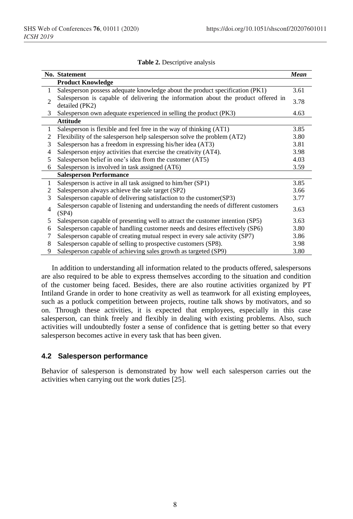|  | Table 2. Descriptive analysis |  |  |
|--|-------------------------------|--|--|
|  |                               |  |  |

|                | <b>No. Statement</b>                                                                         | <b>Mean</b> |
|----------------|----------------------------------------------------------------------------------------------|-------------|
|                | <b>Product Knowledge</b>                                                                     |             |
| 1              | Salesperson possess adequate knowledge about the product specification (PK1)                 | 3.61        |
| $\overline{c}$ | Salesperson is capable of delivering the information about the product offered in            | 3.78        |
|                | detailed (PK2)                                                                               |             |
| 3              | Salesperson own adequate experienced in selling the product (PK3)                            | 4.63        |
|                | <b>Attitude</b>                                                                              |             |
| 1              | Salesperson is flexible and feel free in the way of thinking (AT1)                           | 3.85        |
| 2              | Flexibility of the salesperson help salesperson solve the problem (AT2)                      | 3.80        |
| 3              | Salesperson has a freedom in expressing his/her idea (AT3)                                   | 3.81        |
| 4              | Salesperson enjoy activities that exercise the creativity (AT4).                             | 3.98        |
| 5              | Salesperson belief in one's idea from the customer (AT5)                                     | 4.03        |
| 6              | Salesperson is involved in task assigned (AT6)                                               | 3.59        |
|                | <b>Salesperson Performance</b>                                                               |             |
| 1              | Salesperson is active in all task assigned to him/her (SP1)                                  | 3.85        |
| 2              | Salesperson always achieve the sale target (SP2)                                             | 3.66        |
| 3              | Salesperson capable of delivering satisfaction to the customer (SP3)                         | 3.77        |
| $\overline{4}$ | Salesperson capable of listening and understanding the needs of different customers<br>(SP4) | 3.63        |
| 5              | Salesperson capable of presenting well to attract the customer intention (SP5)               | 3.63        |
| 6              | Salesperson capable of handling customer needs and desires effectively (SP6)                 | 3.80        |
| 7              | Salesperson capable of creating mutual respect in every sale activity (SP7)                  | 3.86        |
| 8              | Salesperson capable of selling to prospective customers (SP8).                               | 3.98        |
| 9              | Salesperson capable of achieving sales growth as targeted (SP9)                              | 3.80        |

In addition to understanding all information related to the products offered, salespersons are also required to be able to express themselves according to the situation and condition of the customer being faced. Besides, there are also routine activities organized by PT Intiland Grande in order to hone creativity as well as teamwork for all existing employees, such as a potluck competition between projects, routine talk shows by motivators, and so on. Through these activities, it is expected that employees, especially in this case salesperson, can think freely and flexibly in dealing with existing problems. Also, such activities will undoubtedly foster a sense of confidence that is getting better so that every salesperson becomes active in every task that has been given.

## **4.2 Salesperson performance**

Behavior of salesperson is demonstrated by how well each salesperson carries out the activities when carrying out the work duties [25].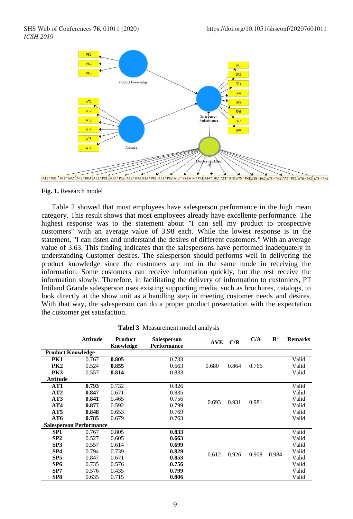

#### **Fig. 1.** Research model

Table 2 showed that most employees have salesperson performance in the high mean category. This result shows that most employees already have excellente performance. The highest response was to the statement about "I can sell my product to prospective customers" with an average value of 3.98 each. While the lowest response is in the statement, "I can listen and understand the desires of different customers." With an average value of 3.63. This finding indicates that the salespersons have performed inadequately in understanding Customer desires. The salesperson should performs well in delivering the product knowledge since the customers are not in the same mode in receiving the information. Some customers can receive information quickly, but the rest receive the information slowly. Therefore, in facilitating the delivery of information to customers, PT Intiland Grande salesperson uses existing supporting media, such as brochures, catalogs, to look directly at the show unit as a handling step in meeting customer needs and desires. With that way, the salesperson can do a proper product presentation with the expectation the customer get satisfaction.

|                                | <b>Attitude</b> | Product<br>Knowledge | Salesperson<br><b>Performance</b> | <b>AVE</b> | C/R   | C/A   | $\mathbb{R}^2$ | <b>Remarks</b> |
|--------------------------------|-----------------|----------------------|-----------------------------------|------------|-------|-------|----------------|----------------|
| <b>Product Knowledge</b>       |                 |                      |                                   |            |       |       |                |                |
| PK1                            | 0.767           | 0.805                | 0.733                             |            |       | 0.766 |                | Valid          |
| PK2                            | 0.524           | 0.855                | 0.663                             | 0.680      | 0.864 |       |                | Valid          |
| PK3                            | 0.557           | 0.814                | 0.833                             |            |       |       |                | Valid          |
| <b>Attitude</b>                |                 |                      |                                   |            |       |       |                |                |
| AT1                            | 0.793           | 0.732                | 0.826                             |            |       |       |                | Valid          |
| AT2                            | 0.847           | 0.671                | 0.835                             |            |       |       |                | Valid          |
| AT3                            | 0.841           | 0.465                | 0.756                             | 0.693      |       |       |                | Valid          |
| AT4                            | 0.877           | 0.592                | 0.799                             |            | 0.931 | 0.981 |                | Valid          |
| AT5                            | 0.848           | 0.653                | 0.769                             |            |       |       |                | Valid          |
| AT6                            | 0.785           | 0.679                | 0.763                             |            |       |       |                | Valid          |
| <b>Salesperson Performance</b> |                 |                      |                                   |            |       |       |                |                |
| SP <sub>1</sub>                | 0.767           | 0.805                | 0.833                             |            | 0.926 |       | 0.984          | Valid          |
| SP2                            | 0.527           | 0.605                | 0.663                             |            |       |       |                | Valid          |
| SP <sub>3</sub>                | 0.557           | 0.614                | 0.699                             |            |       |       |                | Valid          |
| SP4                            | 0.794           | 0.739                | 0.829                             | 0.612      |       | 0.908 |                | Valid          |
| SP <sub>5</sub>                | 0.847           | 0.671                | 0.853                             |            |       |       |                | Valid          |
| SP <sub>6</sub>                | 0.735           | 0.576                | 0.756                             |            |       |       |                | Valid          |
| SP7                            | 0.576           | 0.435                | 0.799                             |            |       |       |                | Valid          |
| SP <sub>8</sub>                | 0.635           | 0.715                | 0.806                             |            |       |       |                | Valid          |

**Tabel 3**. Measurement model analysis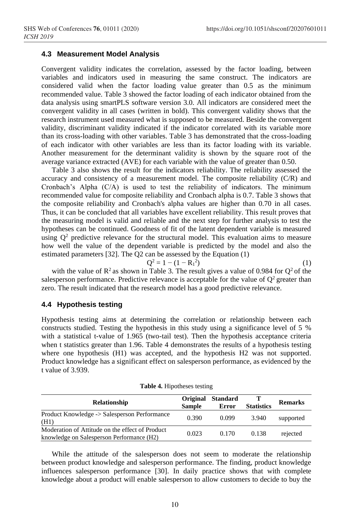#### **4.3 Measurement Model Analysis**

Convergent validity indicates the correlation, assessed by the factor loading, between variables and indicators used in measuring the same construct. The indicators are considered valid when the factor loading value greater than 0.5 as the minimum recommended value. Table 3 showed the factor loading of each indicator obtained from the data analysis using smartPLS software version 3.0. All indicators are considered meet the convergent validity in all cases (written in bold). This convergent validity shows that the research instrument used measured what is supposed to be measured. Beside the convergent validity, discriminant validity indicated if the indicator correlated with its variable more than its cross-loading with other variables. Table 3 has demonstrated that the cross-loading of each indicator with other variables are less than its factor loading with its variable. Another measurement for the determinant validity is shown by the square root of the average variance extracted (AVE) for each variable with the value of greater than 0.50.

Table 3 also shows the result for the indicators reliability. The reliability assessed the accuracy and consistency of a measurement model. The composite reliability (C/R) and Cronbach's Alpha (C/A) is used to test the reliability of indicators. The minimum recommended value for composite reliability and Cronbach alpha is 0.7. Table 3 shows that the composite reliability and Cronbach's alpha values are higher than 0.70 in all cases. Thus, it can be concluded that all variables have excellent reliability. This result proves that the measuring model is valid and reliable and the next step for further analysis to test the hypotheses can be continued. Goodness of fit of the latent dependent variable is measured using  $Q^2$  predictive relevance for the structural model. This evaluation aims to measure how well the value of the dependent variable is predicted by the model and also the estimated parameters [32]. The Q2 can be assessed by the Equation (1)

$$
Q^2 = 1 - (1 - R_1^2) \tag{1}
$$

with the value of  $\mathbb{R}^2$  as shown in Table 3. The result gives a value of 0.984 for  $\mathbb{Q}^2$  of the salesperson performance. Predictive relevance is acceptable for the value of  $Q^2$  greater than zero. The result indicated that the research model has a good predictive relevance.

#### **4.4 Hypothesis testing**

Hypothesis testing aims at determining the correlation or relationship between each constructs studied. Testing the hypothesis in this study using a significance level of 5 % with a statistical t-value of 1.965 (two-tail test). Then the hypothesis acceptance criteria when t statistics greater than 1.96. Table 4 demonstrates the results of a hypothesis testing where one hypothesis (H1) was accepted, and the hypothesis H2 was not supported. Product knowledge has a significant effect on salesperson performance, as evidenced by the t value of 3.939.

| <b>Relationship</b>                                                                          | <b>Sample</b> | Original Standard<br>Error | <b>Statistics</b> | <b>Remarks</b> |
|----------------------------------------------------------------------------------------------|---------------|----------------------------|-------------------|----------------|
| Product Knowledge -> Salesperson Performance<br>(H1)                                         | 0.390         | 0.099                      | 3.940             | supported      |
| Moderation of Attitude on the effect of Product<br>knowledge on Salesperson Performance (H2) | 0.023         | 0.170                      | 0.138             | rejected       |

**Table 4.** Hipotheses testing

While the attitude of the salesperson does not seem to moderate the relationship between product knowledge and salesperson performance. The finding, product knowledge influences salesperson performance [30]. In daily practice shows that with complete knowledge about a product will enable salesperson to allow customers to decide to buy the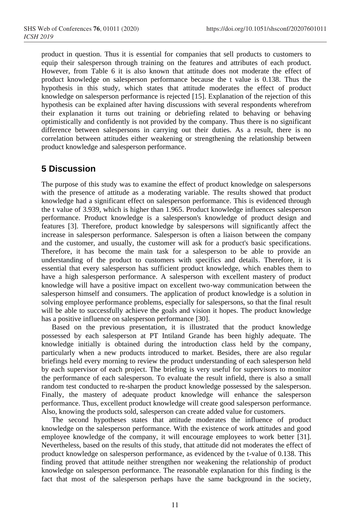product in question. Thus it is essential for companies that sell products to customers to equip their salesperson through training on the features and attributes of each product. However, from Table 6 it is also known that attitude does not moderate the effect of product knowledge on salesperson performance because the t value is 0.138. Thus the hypothesis in this study, which states that attitude moderates the effect of product knowledge on salesperson performance is rejected [15]. Explanation of the rejection of this hypothesis can be explained after having discussions with several respondents wherefrom their explanation it turns out training or debriefing related to behaving or behaving optimistically and confidently is not provided by the company. Thus there is no significant difference between salespersons in carrying out their duties. As a result, there is no correlation between attitudes either weakening or strengthening the relationship between product knowledge and salesperson performance.

# **5 Discussion**

The purpose of this study was to examine the effect of product knowledge on salespersons with the presence of attitude as a moderating variable. The results showed that product knowledge had a significant effect on salesperson performance. This is evidenced through the t value of 3.939, which is higher than 1.965. Product knowledge influences salesperson performance. Product knowledge is a salesperson's knowledge of product design and features [3]. Therefore, product knowledge by salespersons will significantly affect the increase in salesperson performance. Salesperson is often a liaison between the company and the customer, and usually, the customer will ask for a product's basic specifications. Therefore, it has become the main task for a salesperson to be able to provide an understanding of the product to customers with specifics and details. Therefore, it is essential that every salesperson has sufficient product knowledge, which enables them to have a high salesperson performance. A salesperson with excellent mastery of product knowledge will have a positive impact on excellent two-way communication between the salesperson himself and consumers. The application of product knowledge is a solution in solving employee performance problems, especially for salespersons, so that the final result will be able to successfully achieve the goals and vision it hopes. The product knowledge has a positive influence on salesperson performance [30].

Based on the previous presentation, it is illustrated that the product knowledge possessed by each salesperson at PT Intiland Grande has been highly adequate. The knowledge initially is obtained during the introduction class held by the company, particularly when a new products introduced to market. Besides, there are also regular briefings held every morning to review the product understanding of each salesperson held by each supervisor of each project. The briefing is very useful for supervisors to monitor the performance of each salesperson. To evaluate the result infield, there is also a small random test conducted to re-sharpen the product knowledge possessed by the salesperson. Finally, the mastery of adequate product knowledge will enhance the salesperson performance. Thus, excellent product knowledge will create good salesperson performance. Also, knowing the products sold, salesperson can create added value for customers.

The second hypotheses states that attitude moderates the influence of product knowledge on the salesperson performance. With the existence of work attitudes and good employee knowledge of the company, it will encourage employees to work better [31]. Nevertheless, based on the results of this study, that attitude did not moderates the effect of product knowledge on salesperson performance, as evidenced by the t-value of 0.138. This finding proved that attitude neither strengthen nor weakening the relationship of product knowledge on salesperson performance. The reasonable explanation for this finding is the fact that most of the salesperson perhaps have the same background in the society,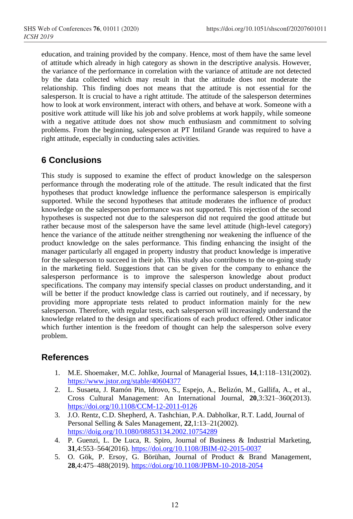education, and training provided by the company. Hence, most of them have the same level of attitude which already in high category as shown in the descriptive analysis. However, the variance of the performance in correlation with the variance of attitude are not detected by the data collected which may result in that the attitude does not moderate the relationship. This finding does not means that the attitude is not essential for the salesperson. It is crucial to have a right attitude. The attitude of the salesperson determines how to look at work environment, interact with others, and behave at work. Someone with a positive work attitude will like his job and solve problems at work happily, while someone with a negative attitude does not show much enthusiasm and commitment to solving problems. From the beginning, salesperson at PT Intiland Grande was required to have a right attitude, especially in conducting sales activities.

# **6 Conclusions**

This study is supposed to examine the effect of product knowledge on the salesperson performance through the moderating role of the attitude. The result indicated that the first hypotheses that product knowledge influence the performance salesperson is empirically supported. While the second hypotheses that attitude moderates the influence of product knowledge on the salesperson performance was not supported. This rejection of the second hypotheses is suspected not due to the salesperson did not required the good attitude but rather because most of the salesperson have the same level attitude (high-level category) hence the variance of the attitude neither strengthening nor weakening the influence of the product knowledge on the sales performance. This finding enhancing the insight of the manager particularly all engaged in property industry that product knowledge is imperative for the salesperson to succeed in their job. This study also contributes to the on-going study in the marketing field. Suggestions that can be given for the company to enhance the salesperson performance is to improve the salesperson knowledge about product specifications. The company may intensify special classes on product understanding, and it will be better if the product knowledge class is carried out routinely, and if necessary, by providing more appropriate tests related to product information mainly for the new salesperson. Therefore, with regular tests, each salesperson will increasingly understand the knowledge related to the design and specifications of each product offered. Other indicator which further intention is the freedom of thought can help the salesperson solve every problem.

# **References**

- 1. M.E. Shoemaker, M.C. Johlke, Journal of Managerial Issues, **14**,1:118–131(2002). <https://www.jstor.org/stable/40604377>
- 2. L. Susaeta, J. Ramón Pin, Idrovo, S., Espejo, A., Belizón, M., Gallifa, A., et al., Cross Cultural Management: An International Journal, **20**,3:321–360(2013). <https://doi.org/10.1108/CCM-12-2011-0126>
- 3. J.O. Rentz, C.D. Shepherd, A. Tashchian, P.A. Dabholkar, R.T. Ladd, Journal of Personal Selling & Sales Management, **22**,1:13–21(2002). <https://doig.org/10.1080/08853134.2002.10754289>
- 4. P. Guenzi, L. De Luca, R. Spiro, Journal of Business & Industrial Marketing, **31**,4:553–564(2016). <https://doi.org/10.1108/JBIM-02-2015-0037>
- 5. O. Gök, P. Ersoy, G. Börühan, Journal of Product & Brand Management, **28**,4:475–488(2019)[. https://doi.org/10.1108/JPBM-10-2018-2054](https://doi.org/10.1108/JPBM-10-2018-2054)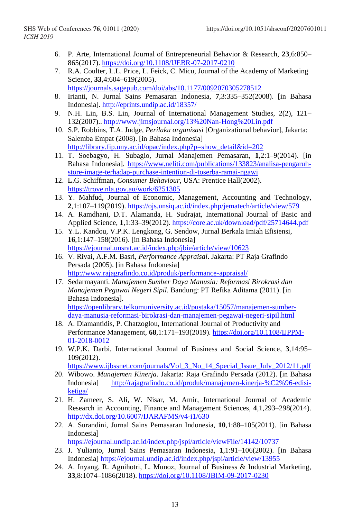- 6. P. Arte, International Journal of Entrepreneurial Behavior & Research, **23**,6:850– 865(2017).<https://doi.org/10.1108/IJEBR-07-2017-0210>
- 7. R.A. Coulter, L.L. Price, L. Feick, C. Micu, Journal of the Academy of Marketing Science, **33**,4:604–619(2005). <https://journals.sagepub.com/doi/abs/10.1177/0092070305278512>
- 8. Irianti, N. Jurnal Sains Pemasaran Indonesia, **7**,3:335–352(2008). [in Bahasa Indonesia]. <http://eprints.undip.ac.id/18357/>
- 9. N.H. Lin, B.S. Lin, Journal of International Management Studies, 2(2), 121– 132(2007).. <http://www.jimsjournal.org/13%20Nan-Hong%20Lin.pdf>
- 10. S.P. Robbins, T.A. Judge, *Perilaku organisasi* [Organizational behavior], Jakarta: Salemba Empat (2008). [in Bahasa Indonesia] [http://library.fip.uny.ac.id/opac/index.php?p=show\\_detail&id=202](http://library.fip.uny.ac.id/opac/index.php?p=show_detail&id=202)
- 11. T. Soebagyo, H. Subagio, Jurnal Manajemen Pemasaran, **1**,2:1–9(2014). [in Bahasa Indonesia]. [https://www.neliti.com/publications/133823/analisa-pengaruh](https://www.neliti.com/publications/133823/analisa-pengaruh-store-image-terhadap-purchase-intention-di-toserba-ramai-ngawi)[store-image-terhadap-purchase-intention-di-toserba-ramai-ngawi](https://www.neliti.com/publications/133823/analisa-pengaruh-store-image-terhadap-purchase-intention-di-toserba-ramai-ngawi)
- 12. L.G. Schiffman, *Consumer Behaviour*, USA: Prentice Hall(2002). <https://trove.nla.gov.au/work/6251305>
- 13. Y. Mahfud, Journal of Economic, Management, Accounting and Technology, **2**,1:107–119(2019). <https://ojs.unsiq.ac.id/index.php/jematech/article/view/579>
- 14. A. Ramdhani, D.T. Alamanda, H. Sudrajat, International Journal of Basic and Applied Science, **1**,1:33–39(2012). <https://core.ac.uk/download/pdf/25714644.pdf>
- 15. Y.L. Kandou, V.P.K. Lengkong, G. Sendow, Jurnal Berkala Imiah Efisiensi, **16**,1:147–158(2016). [in Bahasa Indonesia] <https://ejournal.unsrat.ac.id/index.php/jbie/article/view/10623>
- 16. V. Rivai, A.F.M. Basri, *Performance Appraisal*. Jakarta: PT Raja Grafindo Persada (2005). [in Bahasa Indonesia] <http://www.rajagrafindo.co.id/produk/performance-appraisal/>
- 17. Sedarmayanti. *Manajemen Sumber Daya Manusia: Reformasi Birokrasi dan Manajemen Pegawai Negeri Sipil*. Bandung: PT Refika Aditama (2011). [in Bahasa Indonesia]. [https://openlibrary.telkomuniversity.ac.id/pustaka/15057/manajemen-sumber](https://openlibrary.telkomuniversity.ac.id/pustaka/15057/manajemen-sumber-daya-manusia-reformasi-birokrasi-dan-manajemen-pegawai-negeri-sipil.html)[daya-manusia-reformasi-birokrasi-dan-manajemen-pegawai-negeri-sipil.html](https://openlibrary.telkomuniversity.ac.id/pustaka/15057/manajemen-sumber-daya-manusia-reformasi-birokrasi-dan-manajemen-pegawai-negeri-sipil.html)
- 18. A. Diamantidis, P. Chatzoglou, International Journal of Productivity and Performance Management, **68**,1:171–193(2019). [https://doi.org/10.1108/IJPPM-](https://doi.org/10.1108/IJPPM-01-2018-0012)[01-2018-0012](https://doi.org/10.1108/IJPPM-01-2018-0012)
- 19. W.P.K. Darbi, International Journal of Business and Social Science, **3**,14:95– 109(2012).

```
https://www.ijbssnet.com/journals/Vol_3_No_14_Special_Issue_July_2012/11.pdf
```
- 20. Wibowo. *Manajemen Kinerja*. Jakarta: Raja Grafindo Persada (2012). [in Bahasa Indonesia] [http://rajagrafindo.co.id/produk/manajemen-kinerja-%C2%96-edisi](http://rajagrafindo.co.id/produk/manajemen-kinerja-%C2%96-edisi-ketiga/)[ketiga/](http://rajagrafindo.co.id/produk/manajemen-kinerja-%C2%96-edisi-ketiga/)
- 21. H. Zameer, S. Ali, W. Nisar, M. Amir, International Journal of Academic Research in Accounting, Finance and Management Sciences, **4**,1,293–298(2014). <http://dx.doi.org/10.6007/IJARAFMS/v4-i1/630>
- 22. A. Surandini, Jurnal Sains Pemasaran Indonesia, **10**,1:88–105(2011). [in Bahasa Indonesia]

<https://ejournal.undip.ac.id/index.php/jspi/article/viewFile/14142/10737>

- 23. J. Yulianto, Jurnal Sains Pemasaran Indonesia, **1**,1:91–106(2002). [in Bahasa Indonesia] <https://ejournal.undip.ac.id/index.php/jspi/article/view/13955>
- 24. A. Inyang, R. Agnihotri, L. Munoz, Journal of Business & Industrial Marketing, **33**,8:1074–1086(2018)[. https://doi.org/10.1108/JBIM-09-2017-0230](https://doi.org/10.1108/JBIM-09-2017-0230)